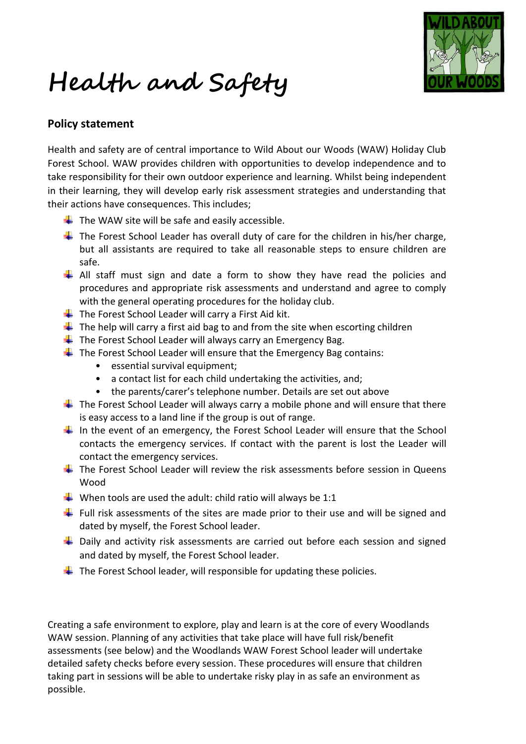**Health and Safety** 



## **Policy statement**

Health and safety are of central importance to Wild About our Woods (WAW) Holiday Club Forest School. WAW provides children with opportunities to develop independence and to take responsibility for their own outdoor experience and learning. Whilst being independent in their learning, they will develop early risk assessment strategies and understanding that their actions have consequences. This includes;

- $\frac{1}{\sqrt{2}}$  The WAW site will be safe and easily accessible.
- $\ddot{+}$  The Forest School Leader has overall duty of care for the children in his/her charge, but all assistants are required to take all reasonable steps to ensure children are safe.
- $\downarrow$  All staff must sign and date a form to show they have read the policies and procedures and appropriate risk assessments and understand and agree to comply with the general operating procedures for the holiday club.
- $\overline{\textbf{I}}$  The Forest School Leader will carry a First Aid kit.
- $\ddot$  The help will carry a first aid bag to and from the site when escorting children
- $\frac{1}{2}$  The Forest School Leader will always carry an Emergency Bag.
- $\ddot$  The Forest School Leader will ensure that the Emergency Bag contains:
	- essential survival equipment:
	- a contact list for each child undertaking the activities, and;
	- the parents/carer's telephone number. Details are set out above
- $\ddot{+}$  The Forest School Leader will always carry a mobile phone and will ensure that there is easy access to a land line if the group is out of range.
- In the event of an emergency, the Forest School Leader will ensure that the School contacts the emergency services. If contact with the parent is lost the Leader will contact the emergency services.
- $\ddot{+}$  The Forest School Leader will review the risk assessments before session in Queens Wood
- $\downarrow$  When tools are used the adult: child ratio will always be 1:1
- Full risk assessments of the sites are made prior to their use and will be signed and dated by myself, the Forest School leader.
- $\downarrow$  Daily and activity risk assessments are carried out before each session and signed and dated by myself, the Forest School leader.
- $\ddot{\phantom{1}}$  The Forest School leader, will responsible for updating these policies.

Creating a safe environment to explore, play and learn is at the core of every Woodlands WAW session. Planning of any activities that take place will have full risk/benefit assessments (see below) and the Woodlands WAW Forest School leader will undertake detailed safety checks before every session. These procedures will ensure that children taking part in sessions will be able to undertake risky play in as safe an environment as possible.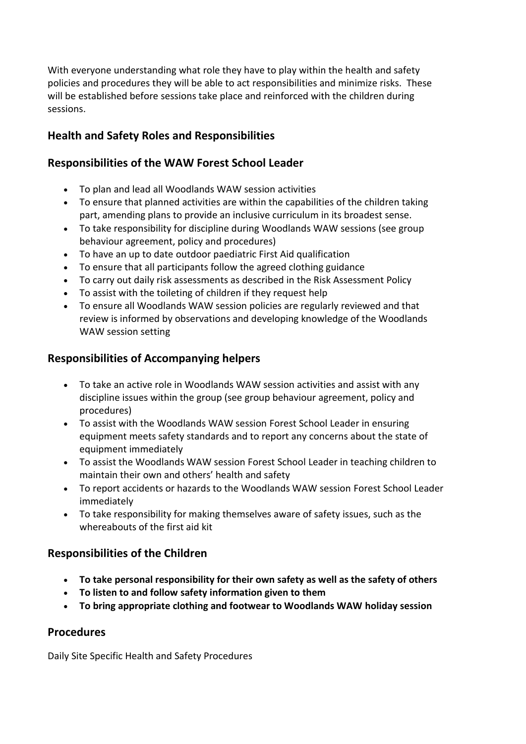With everyone understanding what role they have to play within the health and safety policies and procedures they will be able to act responsibilities and minimize risks. These will be established before sessions take place and reinforced with the children during sessions.

# **Health and Safety Roles and Responsibilities**

## **Responsibilities of the WAW Forest School Leader**

- To plan and lead all Woodlands WAW session activities
- To ensure that planned activities are within the capabilities of the children taking part, amending plans to provide an inclusive curriculum in its broadest sense.
- To take responsibility for discipline during Woodlands WAW sessions (see group behaviour agreement, policy and procedures)
- To have an up to date outdoor paediatric First Aid qualification
- To ensure that all participants follow the agreed clothing guidance
- To carry out daily risk assessments as described in the Risk Assessment Policy
- To assist with the toileting of children if they request help
- To ensure all Woodlands WAW session policies are regularly reviewed and that review is informed by observations and developing knowledge of the Woodlands WAW session setting

## **Responsibilities of Accompanying helpers**

- To take an active role in Woodlands WAW session activities and assist with any discipline issues within the group (see group behaviour agreement, policy and procedures)
- To assist with the Woodlands WAW session Forest School Leader in ensuring equipment meets safety standards and to report any concerns about the state of equipment immediately
- To assist the Woodlands WAW session Forest School Leader in teaching children to maintain their own and others' health and safety
- To report accidents or hazards to the Woodlands WAW session Forest School Leader immediately
- To take responsibility for making themselves aware of safety issues, such as the whereabouts of the first aid kit

# **Responsibilities of the Children**

- **To take personal responsibility for their own safety as well as the safety of others**
- **To listen to and follow safety information given to them**
- **To bring appropriate clothing and footwear to Woodlands WAW holiday session**

# **Procedures**

Daily Site Specific Health and Safety Procedures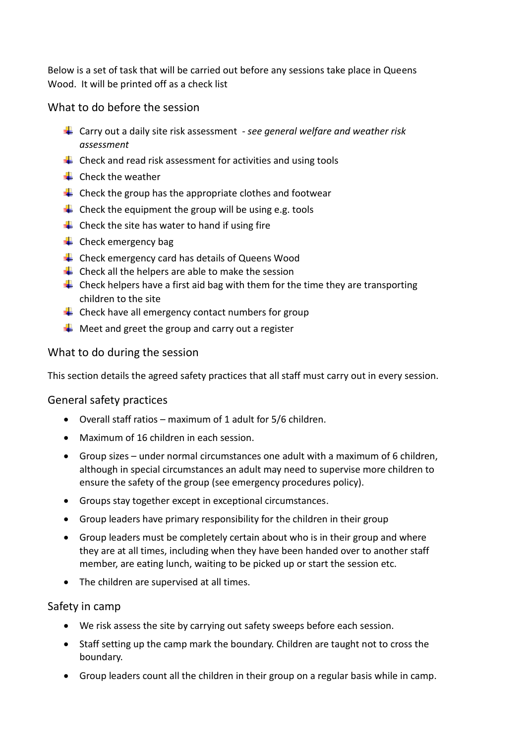Below is a set of task that will be carried out before any sessions take place in Queens Wood. It will be printed off as a check list

What to do before the session

- Carry out a daily site risk assessment *- see general welfare and weather risk assessment*
- $\downarrow$  Check and read risk assessment for activities and using tools
- $\leftarrow$  Check the weather
- $\leftarrow$  Check the group has the appropriate clothes and footwear
- $\frac{1}{2}$  Check the equipment the group will be using e.g. tools
- $\div$  Check the site has water to hand if using fire
- $\triangleq$  Check emergency bag
- $\leftarrow$  Check emergency card has details of Queens Wood
- $\downarrow$  Check all the helpers are able to make the session
- $\ddot{\phantom{1}}$  Check helpers have a first aid bag with them for the time they are transporting children to the site
- $\downarrow$  Check have all emergency contact numbers for group
- $\downarrow$  Meet and greet the group and carry out a register

## What to do during the session

This section details the agreed safety practices that all staff must carry out in every session.

#### General safety practices

- Overall staff ratios maximum of 1 adult for 5/6 children.
- Maximum of 16 children in each session.
- Group sizes under normal circumstances one adult with a maximum of 6 children, although in special circumstances an adult may need to supervise more children to ensure the safety of the group (see emergency procedures policy).
- Groups stay together except in exceptional circumstances.
- Group leaders have primary responsibility for the children in their group
- Group leaders must be completely certain about who is in their group and where they are at all times, including when they have been handed over to another staff member, are eating lunch, waiting to be picked up or start the session etc.
- The children are supervised at all times.

## Safety in camp

- We risk assess the site by carrying out safety sweeps before each session.
- Staff setting up the camp mark the boundary. Children are taught not to cross the boundary.
- Group leaders count all the children in their group on a regular basis while in camp.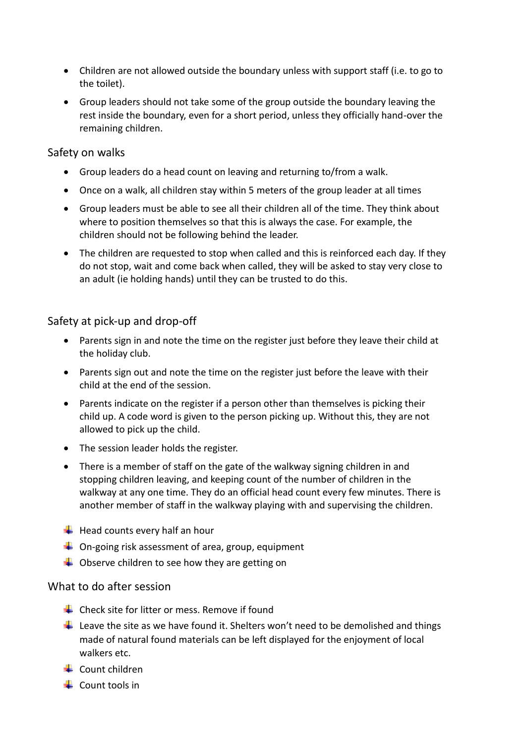- Children are not allowed outside the boundary unless with support staff (i.e. to go to the toilet).
- Group leaders should not take some of the group outside the boundary leaving the rest inside the boundary, even for a short period, unless they officially hand-over the remaining children.

#### Safety on walks

- Group leaders do a head count on leaving and returning to/from a walk.
- Once on a walk, all children stay within 5 meters of the group leader at all times
- Group leaders must be able to see all their children all of the time. They think about where to position themselves so that this is always the case. For example, the children should not be following behind the leader.
- The children are requested to stop when called and this is reinforced each day. If they do not stop, wait and come back when called, they will be asked to stay very close to an adult (ie holding hands) until they can be trusted to do this.

## Safety at pick-up and drop-off

- Parents sign in and note the time on the register just before they leave their child at the holiday club.
- Parents sign out and note the time on the register just before the leave with their child at the end of the session.
- Parents indicate on the register if a person other than themselves is picking their child up. A code word is given to the person picking up. Without this, they are not allowed to pick up the child.
- The session leader holds the register.
- There is a member of staff on the gate of the walkway signing children in and stopping children leaving, and keeping count of the number of children in the walkway at any one time. They do an official head count every few minutes. There is another member of staff in the walkway playing with and supervising the children.
- $\bigstar$  Head counts every half an hour
- $\downarrow$  On-going risk assessment of area, group, equipment
- $\downarrow$  Observe children to see how they are getting on

## What to do after session

- $\leftarrow$  Check site for litter or mess. Remove if found
- $\downarrow$  Leave the site as we have found it. Shelters won't need to be demolished and things made of natural found materials can be left displayed for the enjoyment of local walkers etc.
- $\leftarrow$  Count children
- $\overline{\phantom{a}}$  Count tools in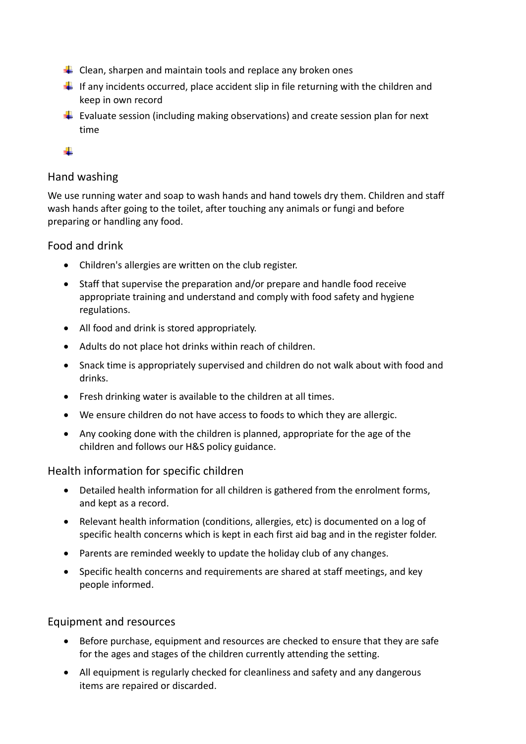- $\downarrow$  Clean, sharpen and maintain tools and replace any broken ones
- If any incidents occurred, place accident slip in file returning with the children and keep in own record
- **Evaluate session (including making observations) and create session plan for next** time

÷.

## Hand washing

We use running water and soap to wash hands and hand towels dry them. Children and staff wash hands after going to the toilet, after touching any animals or fungi and before preparing or handling any food.

## Food and drink

- Children's allergies are written on the club register.
- Staff that supervise the preparation and/or prepare and handle food receive appropriate training and understand and comply with food safety and hygiene regulations.
- All food and drink is stored appropriately.
- Adults do not place hot drinks within reach of children.
- Snack time is appropriately supervised and children do not walk about with food and drinks.
- Fresh drinking water is available to the children at all times.
- We ensure children do not have access to foods to which they are allergic.
- Any cooking done with the children is planned, appropriate for the age of the children and follows our H&S policy guidance.

## Health information for specific children

- Detailed health information for all children is gathered from the enrolment forms, and kept as a record.
- Relevant health information (conditions, allergies, etc) is documented on a log of specific health concerns which is kept in each first aid bag and in the register folder.
- Parents are reminded weekly to update the holiday club of any changes.
- Specific health concerns and requirements are shared at staff meetings, and key people informed.

## Equipment and resources

- Before purchase, equipment and resources are checked to ensure that they are safe for the ages and stages of the children currently attending the setting.
- All equipment is regularly checked for cleanliness and safety and any dangerous items are repaired or discarded.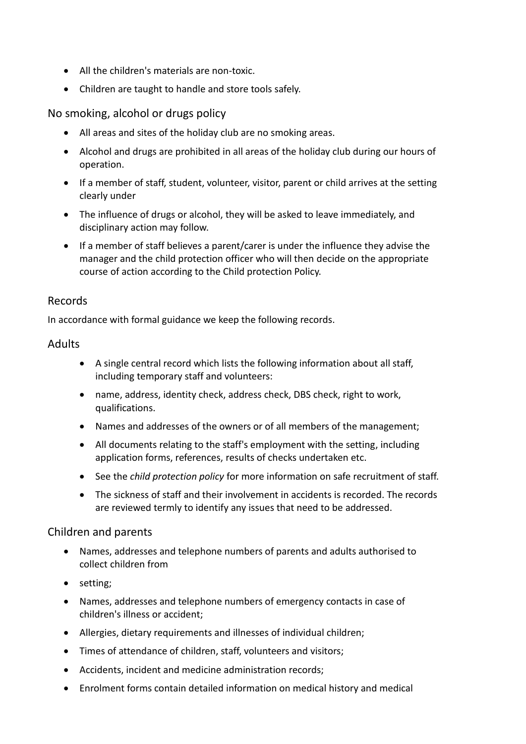- All the children's materials are non-toxic.
- Children are taught to handle and store tools safely.

No smoking, alcohol or drugs policy

- All areas and sites of the holiday club are no smoking areas.
- Alcohol and drugs are prohibited in all areas of the holiday club during our hours of operation.
- If a member of staff, student, volunteer, visitor, parent or child arrives at the setting clearly under
- The influence of drugs or alcohol, they will be asked to leave immediately, and disciplinary action may follow.
- If a member of staff believes a parent/carer is under the influence they advise the manager and the child protection officer who will then decide on the appropriate course of action according to the Child protection Policy.

#### Records

In accordance with formal guidance we keep the following records.

## Adults

- A single central record which lists the following information about all staff, including temporary staff and volunteers:
- name, address, identity check, address check, DBS check, right to work, qualifications.
- Names and addresses of the owners or of all members of the management;
- All documents relating to the staff's employment with the setting, including application forms, references, results of checks undertaken etc.
- See the *child protection policy* for more information on safe recruitment of staff.
- The sickness of staff and their involvement in accidents is recorded. The records are reviewed termly to identify any issues that need to be addressed.

## Children and parents

- Names, addresses and telephone numbers of parents and adults authorised to collect children from
- setting;
- Names, addresses and telephone numbers of emergency contacts in case of children's illness or accident;
- Allergies, dietary requirements and illnesses of individual children;
- Times of attendance of children, staff, volunteers and visitors;
- Accidents, incident and medicine administration records;
- Enrolment forms contain detailed information on medical history and medical